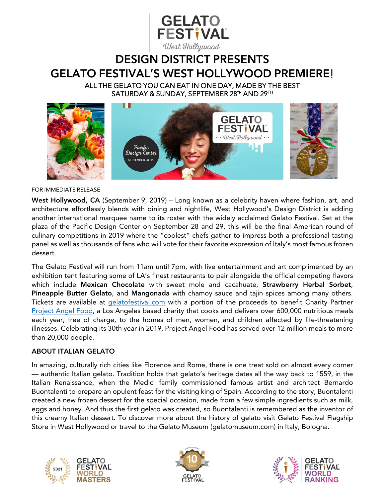

# DESIGN DISTRICT PRESENTS GELATO FESTIVAL'S WEST HOLLYWOOD PREMIERE! ALL THE GELATO YOU CAN EAT IN ONE DAY, MADE BY THE BEST

SATURDAY & SUNDAY, SEPTEMBER 28TH AND 29TH



#### FOR IMMEDIATE RELEASE

West Hollywood, CA (September 9, 2019) – Long known as a celebrity haven where fashion, art, and architecture effortlessly blends with dining and nightlife, West Hollywood's Design District is adding another international marquee name to its roster with the widely acclaimed Gelato Festival. Set at the plaza of the Pacific Design Center on September 28 and 29, this will be the final American round of culinary competitions in 2019 where the "coolest" chefs gather to impress both a professional tasting panel as well as thousands of fans who will vote for their favorite expression of Italy's most famous frozen dessert.

The Gelato Festival will run from 11am until 7pm, with live entertainment and art complimented by an exhibition tent featuring some of LA's finest restaurants to pair alongside the official competing flavors which include Mexican Chocolate with sweet mole and cacahuate, Strawberry Herbal Sorbet, Pineapple Butter Gelato, and Mangonada with chamoy sauce and tajin spices among many others. Tickets are available at [gelatofestival.com](https://gelatofestival.com/en/world-master/west-hollywood-la/) with a portion of the proceeds to benefit Charity Partner [Project Angel Food,](https://www.angelfood.org/) a Los Angeles based charity that cooks and delivers over 600,000 nutritious meals each year, free of charge, to the homes of men, women, and children affected by life-threatening illnesses. Celebrating its 30th year in 2019, Project Angel Food has served over 12 million meals to more than 20,000 people.

### ABOUT ITALIAN GELATO

In amazing, culturally rich cities like Florence and Rome, there is one treat sold on almost every corner — authentic Italian gelato. Tradition holds that gelato's heritage dates all the way back to 1559, in the Italian Renaissance, when the Medici family commissioned famous artist and architect Bernardo Buontalenti to prepare an opulent feast for the visiting king of Spain. According to the story, Buontalenti created a new frozen dessert for the special occasion, made from a few simple ingredients such as milk, eggs and honey. And thus the first gelato was created, so Buontalenti is remembered as the inventor of this creamy Italian dessert. To discover more about the history of gelato visit Gelato Festival Flagship Store in West Hollywood or travel to the Gelato Museum (gelatomuseum.com) in Italy, Bologna.





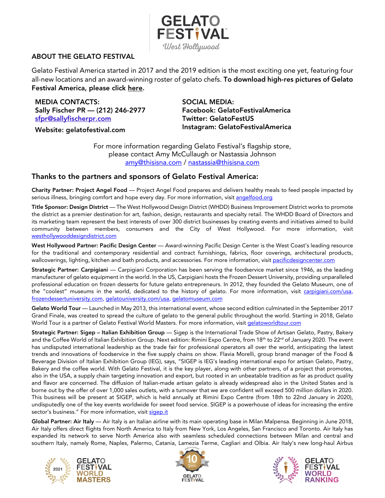

# ABOUT THE GELATO FESTIVAL

Gelato Festival America started in 2017 and the 2019 edition is the most exciting one yet, featuring four all-new locations and an award-winning roster of gelato chefs. To download high-res pictures of Gelato Festival America, please click [here.](https://www.dropbox.com/sh/hm8cv70iuf3e3w0/AAC7mz_yPXEkeb6SCRUQByDJa/Highlights%202018?dl=0&subfolder_nav_tracking=1)

MEDIA CONTACTS: Sally Fischer PR — (212) 246-2977 [sfpr@sallyfischerpr.com](mailto:sfpr@sallyfischerpr.com)

Website: gelatofestival.com

SOCIAL MEDIA: Facebook: GelatoFestivalAmerica Twitter: GelatoFestUS Instagram: GelatoFestivalAmerica

For more information regarding Gelato Festival's flagship store, please contact Amy McCullaugh or Nastassia Johnson [amy@thisisna.com](mailto:amy@thisisna.com) / [nastassia@thisisna.com](mailto:nastassia@thisisna.com)

# Thanks to the partners and sponsors of Gelato Festival America:

Charity Partner: Project Angel Food — Project Angel Food prepares and delivers healthy meals to feed people impacted by serious illness, bringing comfort and hope every day. For more information, visi[t angelfood.org](https://www.angelfood.org/)

Title Sponsor: Design District — The West Hollywood Design District (WHDD) Business Improvement District works to promote the district as a premier destination for art, fashion, design, restaurants and specialty retail. The WHDD Board of Directors and its marketing team represent the best interests of over 300 district businesses by creating events and initiatives aimed to build community between members, consumers and the City of West Hollywood. For more information, visit [westhollywooddesigndistrict.com](https://www.westhollywooddesigndistrict.com/)

West Hollywood Partner: Pacific Design Center — Award-winning Pacific Design Center is the West Coast's leading resource for the traditional and contemporary residential and contract furnishings, fabrics, floor coverings, architectural products, wallcoverings, lighting, kitchen and bath products, and accessories. For more information, visit [pacificdesigncenter.com](https://www.pacificdesigncenter.com/)

Strategic Partner: Carpigiani — Carpigiani Corporation has been serving the foodservice market since 1946, as the leading manufacturer of gelato equipment in the world. In the US, Carpigiani hosts the Frozen Dessert University, providing unparalleled professional education on frozen desserts for future gelato entrepreneurs. In 2012, they founded the Gelato Museum, one of the "coolest" museums in the world, dedicated to the history of gelato. For more information, visit [carpigiani.com/usa,](http://www.carpigiani.com/usa) [frozendessertuniversity.com,](http://www.frozendessertuniversity.com/) [gelatouniversity.com/usa,](http://www.gelatouniversity.com/usa) [gelatomuseum.com](http://www.gelatomuseum.com/en)

Gelato World Tour — Launched in May 2013, this international event, whose second edition culminated in the September 2017 Grand Finale, was created to spread the culture of gelato to the general public throughout the world. Starting in 2018, Gelato World Tour is a partner of Gelato Festival World Masters. For more information, visi[t gelatoworldtour.com](http://www.gelatoworldtour.com/)

Strategic Partner: Sigep - Italian Exhibition Group - Sigep is the International Trade Show of Artisan Gelato, Pastry, Bakery and the Coffee World of Italian Exhibition Group. Next edition: Rimini Expo Centre, from 18th to 22<sup>rd</sup> of January 2020. The event has undisputed international leadership as the trade fair for professional operators all over the world, anticipating the latest trends and innovations of foodservice in the five supply chains on show. Flavia Morelli, group brand manager of the Food & Beverage Division of Italian Exhibition Group (IEG), says, "SIGEP is IEG's leading international expo for artisan Gelato, Pastry, Bakery and the coffee world. With Gelato Festival, it is the key player, along with other partners, of a project that promotes, also in the USA, a supply chain targeting innovation and export, but rooted in an unbeatable tradition as far as product quality and flavor are concerned. The diffusion of Italian-made artisan gelato is already widespread also in the United States and is borne out by the offer of over 1,000 sales outlets, with a turnover that we are confident will exceed 500 million dollars in 2020. This business will be present at SIGEP, which is held annually at Rimini Expo Centre (from 18th to 22nd January in 2020), undisputedly one of the key events worldwide for sweet food service. SIGEP is a powerhouse of ideas for increasing the entire sector's business." For more information, visit [sigep.it](https://en.sigep.it/)

Global Partner: Air Italy — Air Italy is an Italian airline with its main operating base in Milan Malpensa. Beginning in June 2018, Air Italy offers direct flights from North America to Italy from New York, Los Angeles, San Francisco and Toronto. Air Italy has expanded its network to serve North America also with seamless scheduled connections between Milan and central and southern Italy, namely Rome, Naples, Palermo, Catania, Lamezia Terme, Cagliari and Olbia. Air Italy's new long-haul Airbus